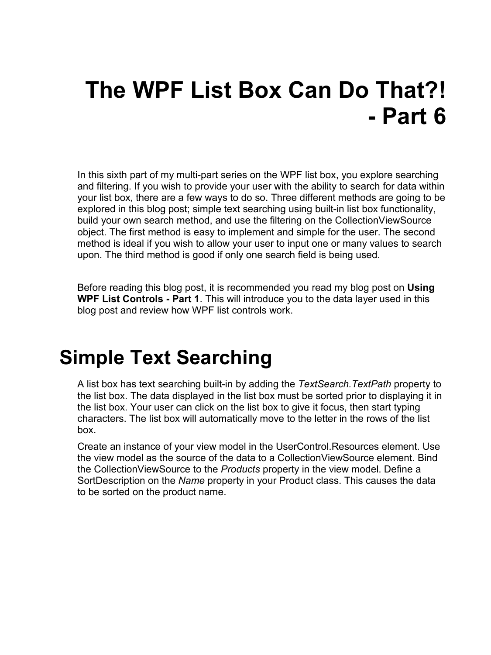# **The WPF List Box Can Do That?! - Part 6**

In this sixth part of my multi-part series on the WPF list box, you explore searching and filtering. If you wish to provide your user with the ability to search for data within your list box, there are a few ways to do so. Three different methods are going to be explored in this blog post; simple text searching using built-in list box functionality, build your own search method, and use the filtering on the CollectionViewSource object. The first method is easy to implement and simple for the user. The second method is ideal if you wish to allow your user to input one or many values to search upon. The third method is good if only one search field is being used.

Before reading this blog post, it is recommended you read my blog post on **Using WPF List Controls - Part 1**. This will introduce you to the data layer used in this blog post and review how WPF list controls work.

### **Simple Text Searching**

A list box has text searching built-in by adding the *TextSearch.TextPath* property to the list box. The data displayed in the list box must be sorted prior to displaying it in the list box. Your user can click on the list box to give it focus, then start typing characters. The list box will automatically move to the letter in the rows of the list box.

Create an instance of your view model in the UserControl.Resources element. Use the view model as the source of the data to a CollectionViewSource element. Bind the CollectionViewSource to the *Products* property in the view model. Define a SortDescription on the *Name* property in your Product class. This causes the data to be sorted on the product name.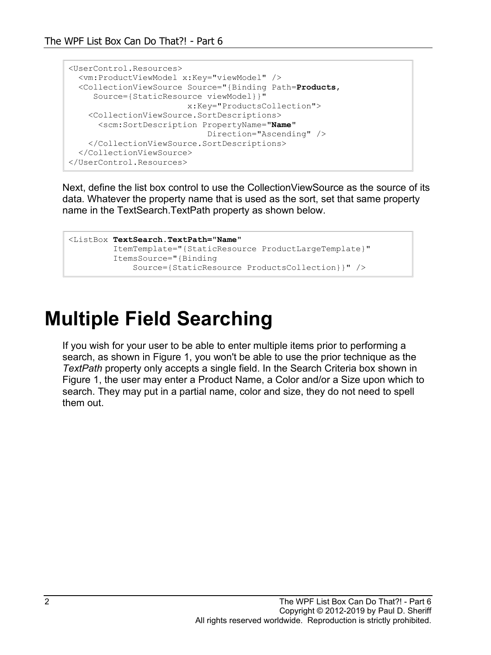```
<UserControl.Resources>
 <vm:ProductViewModel x:Key="viewModel" />
   <CollectionViewSource Source="{Binding Path=Products,
     Source={StaticResource viewModel}}"
                        x:Key="ProductsCollection">
    <CollectionViewSource.SortDescriptions>
       <scm:SortDescription PropertyName="Name"
                             Direction="Ascending" />
     </CollectionViewSource.SortDescriptions>
   </CollectionViewSource>
</UserControl.Resources>
```
Next, define the list box control to use the CollectionViewSource as the source of its data. Whatever the property name that is used as the sort, set that same property name in the TextSearch.TextPath property as shown below.

```
<ListBox TextSearch.TextPath="Name"
          ItemTemplate="{StaticResource ProductLargeTemplate}"
          ItemsSource="{Binding 
              Source={StaticResource ProductsCollection}}" />
```
### **Multiple Field Searching**

If you wish for your user to be able to enter multiple items prior to performing a search, as shown in [Figure 1,](#page-2-0) you won't be able to use the prior technique as the *TextPath* property only accepts a single field. In the Search Criteria box shown in [Figure 1,](#page-2-0) the user may enter a Product Name, a Color and/or a Size upon which to search. They may put in a partial name, color and size, they do not need to spell them out.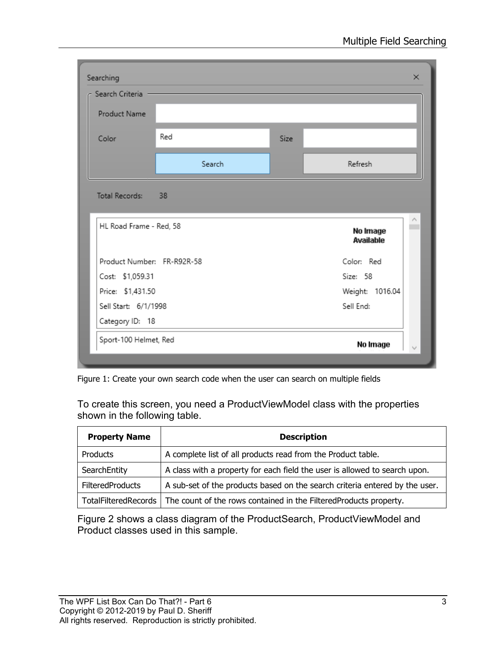| Searching                  |        |             | $\times$                          |  |
|----------------------------|--------|-------------|-----------------------------------|--|
| - Search Criteria -        |        |             |                                   |  |
| Product Name               |        |             |                                   |  |
| Color                      | Red    | <b>Size</b> |                                   |  |
|                            | Search |             | Refresh                           |  |
| Total Records: 38          |        |             |                                   |  |
| HL Road Frame - Red, 58    |        |             | Λ<br>No Image<br><b>Available</b> |  |
| Product Number: FR-R92R-58 |        |             | Color: Red                        |  |
| Cost: \$1,059.31           |        |             | Size: 58                          |  |
| Price: \$1,431.50          |        |             | Weight: 1016.04                   |  |
| Sell Start: 6/1/1998       |        |             | Sell End:                         |  |
| Category ID: 18            |        |             |                                   |  |
| Sport-100 Helmet, Red      |        |             | No Image                          |  |
|                            |        |             |                                   |  |

<span id="page-2-0"></span>Figure 1: Create your own search code when the user can search on multiple fields

To create this screen, you need a ProductViewModel class with the properties shown in the following table.

| <b>Property Name</b>    | <b>Description</b>                                                                       |  |
|-------------------------|------------------------------------------------------------------------------------------|--|
| Products                | A complete list of all products read from the Product table.                             |  |
| SearchEntity            | A class with a property for each field the user is allowed to search upon.               |  |
| <b>FilteredProducts</b> | A sub-set of the products based on the search criteria entered by the user.              |  |
|                         | TotalFilteredRecords   The count of the rows contained in the FilteredProducts property. |  |

[Figure 2](#page-3-0) shows a class diagram of the ProductSearch, ProductViewModel and Product classes used in this sample.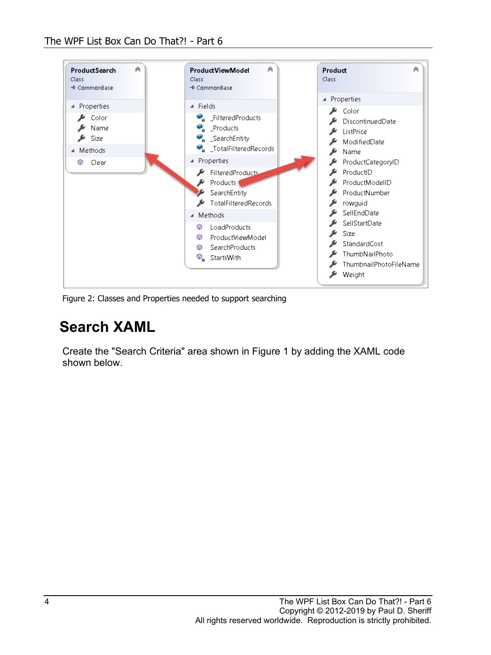

<span id="page-3-0"></span>Figure 2: Classes and Properties needed to support searching

### **Search XAML**

Create the "Search Criteria" area shown in [Figure 1](#page-2-0) by adding the XAML code shown below.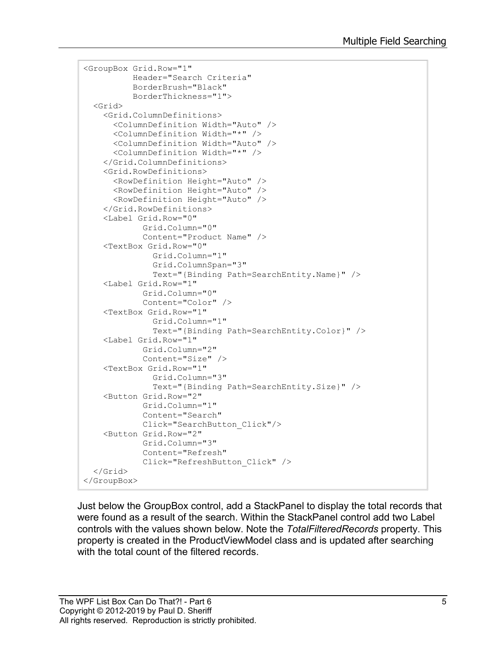```
<GroupBox Grid.Row="1"
           Header="Search Criteria"
           BorderBrush="Black"
           BorderThickness="1">
   <Grid>
     <Grid.ColumnDefinitions>
       <ColumnDefinition Width="Auto" />
       <ColumnDefinition Width="*" />
       <ColumnDefinition Width="Auto" />
       <ColumnDefinition Width="*" />
     </Grid.ColumnDefinitions>
     <Grid.RowDefinitions>
       <RowDefinition Height="Auto" />
       <RowDefinition Height="Auto" />
       <RowDefinition Height="Auto" />
     </Grid.RowDefinitions>
     <Label Grid.Row="0"
             Grid.Column="0"
             Content="Product Name" />
     <TextBox Grid.Row="0"
               Grid.Column="1"
               Grid.ColumnSpan="3"
               Text="{Binding Path=SearchEntity.Name}" />
     <Label Grid.Row="1"
             Grid.Column="0"
             Content="Color" />
     <TextBox Grid.Row="1"
               Grid.Column="1"
               Text="{Binding Path=SearchEntity.Color}" />
     <Label Grid.Row="1"
             Grid.Column="2"
             Content="Size" />
     <TextBox Grid.Row="1"
               Grid.Column="3"
               Text="{Binding Path=SearchEntity.Size}" />
     <Button Grid.Row="2"
             Grid.Column="1"
             Content="Search"
             Click="SearchButton_Click"/>
     <Button Grid.Row="2"
             Grid.Column="3"
             Content="Refresh"
             Click="RefreshButton_Click" />
   </Grid>
</GroupBox>
```
Just below the GroupBox control, add a StackPanel to display the total records that were found as a result of the search. Within the StackPanel control add two Label controls with the values shown below. Note the *TotalFilteredRecords* property. This property is created in the ProductViewModel class and is updated after searching with the total count of the filtered records.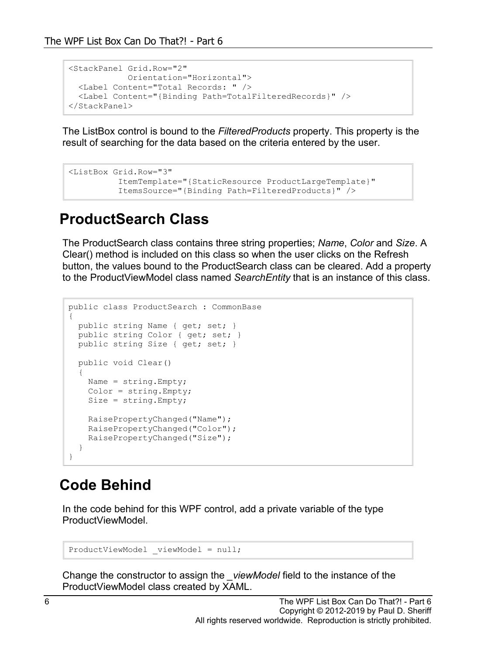```
<StackPanel Grid.Row="2"
            Orientation="Horizontal">
  <Label Content="Total Records: " />
  <Label Content="{Binding Path=TotalFilteredRecords}" />
</StackPanel>
```
The ListBox control is bound to the *FilteredProducts* property. This property is the result of searching for the data based on the criteria entered by the user.

```
<ListBox Grid.Row="3"
          ItemTemplate="{StaticResource ProductLargeTemplate}"
           ItemsSource="{Binding Path=FilteredProducts}" />
```
#### **ProductSearch Class**

The ProductSearch class contains three string properties; *Name*, *Color* and *Size*. A Clear() method is included on this class so when the user clicks on the Refresh button, the values bound to the ProductSearch class can be cleared. Add a property to the ProductViewModel class named *SearchEntity* that is an instance of this class.

```
public class ProductSearch : CommonBase
{
  public string Name { get; set; }
  public string Color { get; set; }
  public string Size { get; set; }
  public void Clear()
   {
   Name = string.Fmpty; Color = string.Empty;
    Size = string.Empty;
     RaisePropertyChanged("Name");
     RaisePropertyChanged("Color");
    RaisePropertyChanged("Size");
   }
}
```
#### **Code Behind**

In the code behind for this WPF control, add a private variable of the type ProductViewModel.

```
ProductViewModel viewModel = null;
```
Change the constructor to assign the *\_viewModel* field to the instance of the ProductViewModel class created by XAML.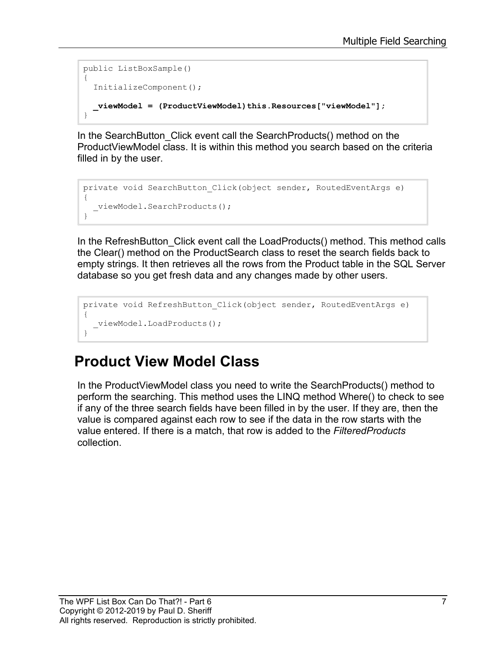```
public ListBoxSample()
{
   InitializeComponent();
   _viewModel = (ProductViewModel)this.Resources["viewModel"];
}
```
In the SearchButton Click event call the SearchProducts() method on the ProductViewModel class. It is within this method you search based on the criteria filled in by the user.

```
private void SearchButton Click(object sender, RoutedEventArgs e)
{
  viewModel.SearchProducts();
}
```
In the RefreshButton Click event call the LoadProducts() method. This method calls the Clear() method on the ProductSearch class to reset the search fields back to empty strings. It then retrieves all the rows from the Product table in the SQL Server database so you get fresh data and any changes made by other users.

```
private void RefreshButton_Click(object sender, RoutedEventArgs e)
{ 
  viewModel.LoadProducts();
}
```
### **Product View Model Class**

In the ProductViewModel class you need to write the SearchProducts() method to perform the searching. This method uses the LINQ method Where() to check to see if any of the three search fields have been filled in by the user. If they are, then the value is compared against each row to see if the data in the row starts with the value entered. If there is a match, that row is added to the *FilteredProducts* collection.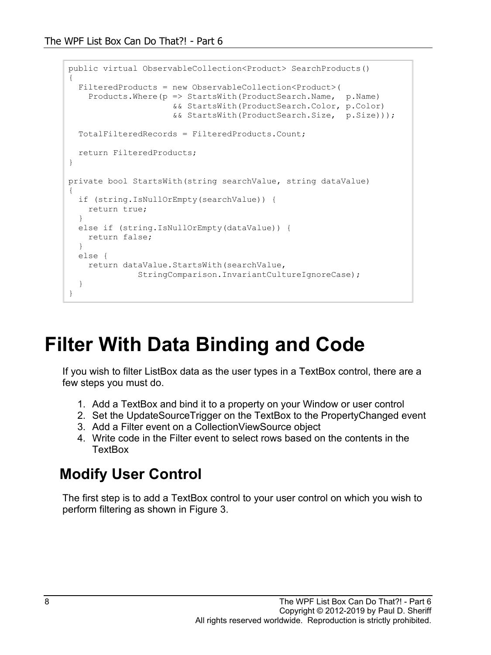```
public virtual ObservableCollection<Product> SearchProducts()
{ 
   FilteredProducts = new ObservableCollection<Product>(
    Products.Where(p => StartsWith(ProductSearch.Name, p.Name)
                      && StartsWith(ProductSearch.Color, p.Color)
                     && StartsWith(ProductSearch.Size, p.Size)));
   TotalFilteredRecords = FilteredProducts.Count;
   return FilteredProducts;
}
private bool StartsWith(string searchValue, string dataValue)
{
   if (string.IsNullOrEmpty(searchValue)) {
    return true;
   }
   else if (string.IsNullOrEmpty(dataValue)) {
    return false;
   }
   else {
    return dataValue.StartsWith(searchValue,
               StringComparison.InvariantCultureIgnoreCase);
   }
}
```
### **Filter With Data Binding and Code**

If you wish to filter ListBox data as the user types in a TextBox control, there are a few steps you must do.

- 1. Add a TextBox and bind it to a property on your Window or user control
- 2. Set the UpdateSourceTrigger on the TextBox to the PropertyChanged event
- 3. Add a Filter event on a CollectionViewSource object
- 4. Write code in the Filter event to select rows based on the contents in the **TextBox**

#### **Modify User Control**

The first step is to add a TextBox control to your user control on which you wish to perform filtering as shown in [Figure 3.](#page-8-0)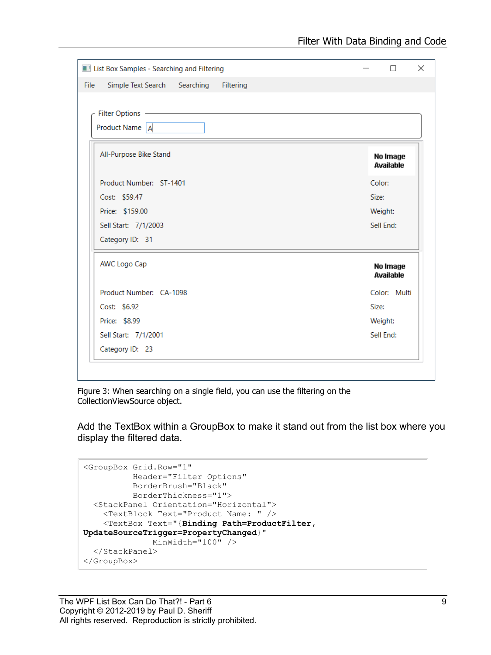| Simple Text Search Searching Filtering |                       |
|----------------------------------------|-----------------------|
|                                        |                       |
|                                        |                       |
|                                        |                       |
| Product Name A                         |                       |
| All-Purpose Bike Stand                 |                       |
|                                        | No Image<br>Available |
| Product Number: ST-1401                | Color:                |
| Cost: \$59.47                          | Size:                 |
| Price: \$159.00                        | Weight:               |
| Sell Start: 7/1/2003                   | Sell Fnd:             |
| Category ID: 31                        |                       |
| <b>AWC Logo Cap</b>                    | No Image              |
|                                        | Available             |
| Product Number: CA-1098                | Color: Multi          |
| Cost: \$6.92                           | Size:                 |
| Price: \$8.99                          | Weight:               |
| Sell Start: 7/1/2001                   | Sell End:             |
| Category ID: 23                        |                       |

<span id="page-8-0"></span>Figure 3: When searching on a single field, you can use the filtering on the CollectionViewSource object.

Add the TextBox within a GroupBox to make it stand out from the list box where you display the filtered data.

```
<GroupBox Grid.Row="1"
           Header="Filter Options"
           BorderBrush="Black"
           BorderThickness="1">
   <StackPanel Orientation="Horizontal">
     <TextBlock Text="Product Name: " />
     <TextBox Text="{Binding Path=ProductFilter, 
UpdateSourceTrigger=PropertyChanged}"
              MinWidth="100" />
   </StackPanel>
</GroupBox>
```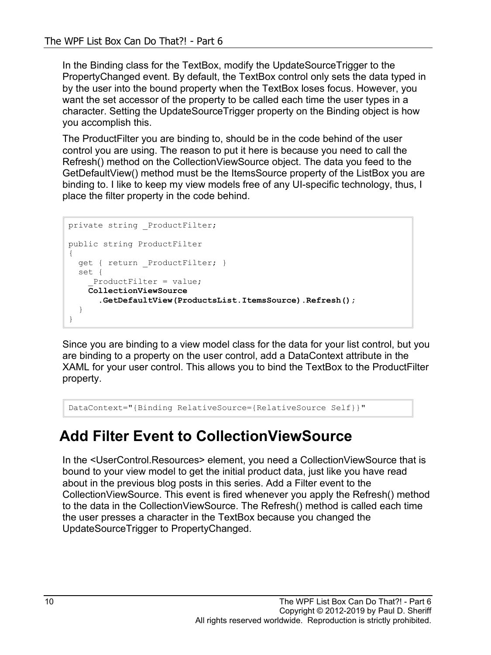In the Binding class for the TextBox, modify the UpdateSourceTrigger to the PropertyChanged event. By default, the TextBox control only sets the data typed in by the user into the bound property when the TextBox loses focus. However, you want the set accessor of the property to be called each time the user types in a character. Setting the UpdateSourceTrigger property on the Binding object is how you accomplish this.

The ProductFilter you are binding to, should be in the code behind of the user control you are using. The reason to put it here is because you need to call the Refresh() method on the CollectionViewSource object. The data you feed to the GetDefaultView() method must be the ItemsSource property of the ListBox you are binding to. I like to keep my view models free of any UI-specific technology, thus, I place the filter property in the code behind.

```
private string ProductFilter;
public string ProductFilter
{
 get { return ProductFilter; }
   set {
    ProductFilter = value;
     CollectionViewSource
      .GetDefaultView(ProductsList.ItemsSource).Refresh();
   }
}
```
Since you are binding to a view model class for the data for your list control, but you are binding to a property on the user control, add a DataContext attribute in the XAML for your user control. This allows you to bind the TextBox to the ProductFilter property.

DataContext="{Binding RelativeSource={RelativeSource Self}}"

#### **Add Filter Event to CollectionViewSource**

In the <UserControl.Resources> element, you need a CollectionViewSource that is bound to your view model to get the initial product data, just like you have read about in the previous blog posts in this series. Add a Filter event to the CollectionViewSource. This event is fired whenever you apply the Refresh() method to the data in the CollectionViewSource. The Refresh() method is called each time the user presses a character in the TextBox because you changed the UpdateSourceTrigger to PropertyChanged.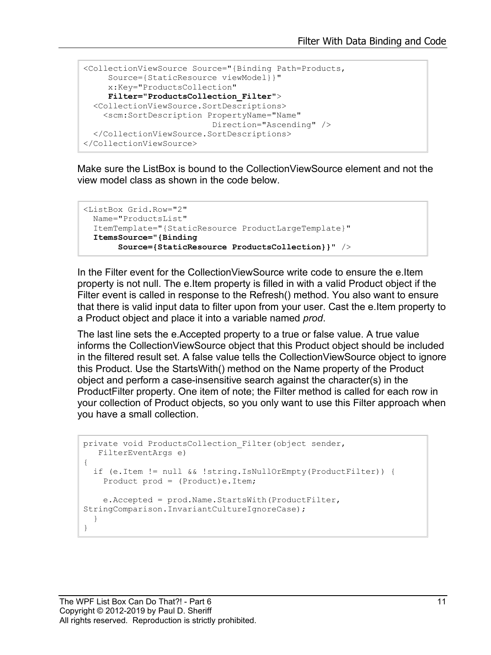```
<CollectionViewSource Source="{Binding Path=Products,
    Source={StaticResource viewModel}}"
     x:Key="ProductsCollection"
     Filter="ProductsCollection_Filter">
   <CollectionViewSource.SortDescriptions>
    <scm:SortDescription PropertyName="Name"
                          Direction="Ascending" />
   </CollectionViewSource.SortDescriptions>
</CollectionViewSource>
```
Make sure the ListBox is bound to the CollectionViewSource element and not the view model class as shown in the code below.

```
<ListBox Grid.Row="2"
  Name="ProductsList"
  ItemTemplate="{StaticResource ProductLargeTemplate}"
  ItemsSource="{Binding 
        Source={StaticResource ProductsCollection}}" />
```
In the Filter event for the CollectionViewSource write code to ensure the e.Item property is not null. The e.Item property is filled in with a valid Product object if the Filter event is called in response to the Refresh() method. You also want to ensure that there is valid input data to filter upon from your user. Cast the e.Item property to a Product object and place it into a variable named *prod*.

The last line sets the e.Accepted property to a true or false value. A true value informs the CollectionViewSource object that this Product object should be included in the filtered result set. A false value tells the CollectionViewSource object to ignore this Product. Use the StartsWith() method on the Name property of the Product object and perform a case-insensitive search against the character(s) in the ProductFilter property. One item of note; the Filter method is called for each row in your collection of Product objects, so you only want to use this Filter approach when you have a small collection.

```
private void ProductsCollection Filter(object sender,
   FilterEventArgs e)
{
   if (e.Item != null && !string.IsNullOrEmpty(ProductFilter)) {
    Product prod = (Product)e. Item;
     e.Accepted = prod.Name.StartsWith(ProductFilter, 
StringComparison.InvariantCultureIgnoreCase);
   }
}
```